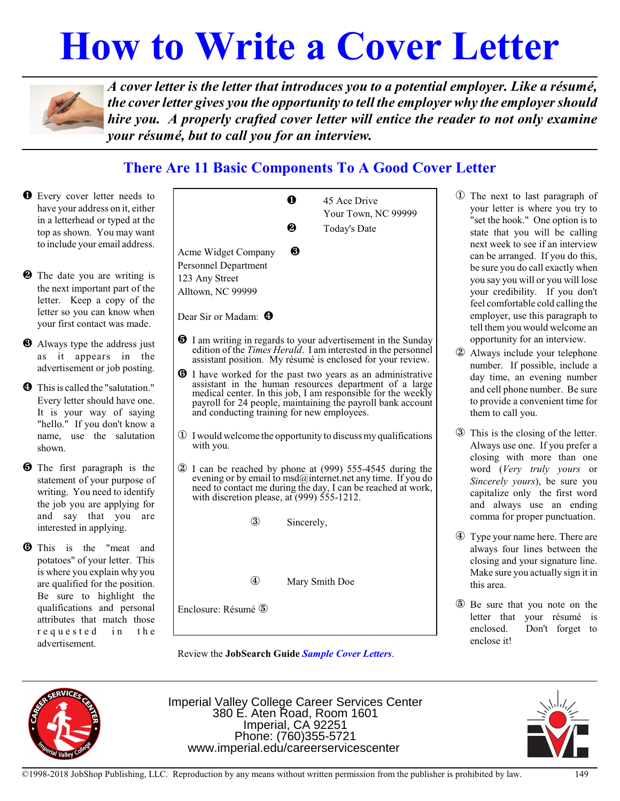# **How to Write a Cover Letter**



*A cover letter is the letter that introduces you to a potential employer. Like a résumé, the coverletter gives you the opportunity to tell the employer why the employershould hire you. A properly crafted cover letter will entice the reader to not only examine your résumé, but to call you for an interview.*

## **There Are 11 Basic Components To A Good Cover Letter**

Ø Every cover letter needs to have your address on it, either in a letterhead or typed at the top as shown. You may want to include your email address. - $\Theta$  The date you are writing is the next important part of the letter. Keep a copy of the letter so you can know when your first contact was made.
- $\Theta$  Always type the address just as it appears in the advertisement or job posting.
- Û This is called the "salutation." Every letter should have one. It is your way of saying "hello." If you don't know a name, use the salutation shown.
- $\Theta$  The first paragraph is the statement of your purpose of writing. You need to identify the job you are applying for and say that you are interested in applying.
- **O** This is the "meat and potatoes" of your letter. This is where you explain why you are qualified for the position. Be sure to highlight the qualifications and personal attributes that match those requested in the advertisement.

|                                                                                                                                                                                                                                                                                                           | N          | 45 Ace Drive                                                                                                                                                                                        |  |
|-----------------------------------------------------------------------------------------------------------------------------------------------------------------------------------------------------------------------------------------------------------------------------------------------------------|------------|-----------------------------------------------------------------------------------------------------------------------------------------------------------------------------------------------------|--|
|                                                                                                                                                                                                                                                                                                           |            | Your Town, NC 99999                                                                                                                                                                                 |  |
|                                                                                                                                                                                                                                                                                                           | 2          | <b>Today's Date</b>                                                                                                                                                                                 |  |
| Acme Widget Company<br><b>Personnel Department</b><br>123 Any Street<br>Alltown, NC 99999                                                                                                                                                                                                                 | ❸          |                                                                                                                                                                                                     |  |
| Dear Sir or Madam: <sup>4</sup>                                                                                                                                                                                                                                                                           |            |                                                                                                                                                                                                     |  |
|                                                                                                                                                                                                                                                                                                           |            | <b>1</b> I am writing in regards to your advertisement in the Sunday<br>edition of the Times Herald. I am interested in the personnel<br>assistant position. My résumé is enclosed for your review. |  |
| <b>O</b> I have worked for the past two years as an administrative<br>assistant in the human resources department of a large<br>medical center. In this job, I am responsible for the weekly<br>payroll for 24 people, maintaining the payroll bank account<br>and conducting training for new employees. |            |                                                                                                                                                                                                     |  |
| $\Phi$ I would welcome the opportunity to discuss my qualifications<br>with you.                                                                                                                                                                                                                          |            |                                                                                                                                                                                                     |  |
| 2 I can be reached by phone at (999) 555-4545 during the<br>evening or by email to msd@internet.net any time. If you do<br>need to contact me during the day, I can be reached at work,<br>with discretion please, at $(999)$ 555-1212.                                                                   |            |                                                                                                                                                                                                     |  |
| $^\circledR$                                                                                                                                                                                                                                                                                              | Sincerely, |                                                                                                                                                                                                     |  |
|                                                                                                                                                                                                                                                                                                           |            |                                                                                                                                                                                                     |  |
| $^{\circledR}$                                                                                                                                                                                                                                                                                            |            | Mary Smith Doe                                                                                                                                                                                      |  |
| Enclosure: Résumé 5                                                                                                                                                                                                                                                                                       |            |                                                                                                                                                                                                     |  |
|                                                                                                                                                                                                                                                                                                           |            |                                                                                                                                                                                                     |  |

Review the **JobSearch Guide** *Sample Cover Letters*.

- Î The next to last paragraph of your letter is where you try to "set the hook." One option is to state that you will be calling next week to see if an interview can be arranged. If you do this, be sure you do call exactly when you say you will or you will lose your credibility. If you don't feel comfortable cold calling the employer, use this paragraph to tell them you would welcome an opportunity for an interview.
- Always include your telephone number. If possible, include a day time, an evening number and cell phone number. Be sure to provide a convenient time for them to call you.
- Ð This is the closing of the letter. Always use one. If you prefer a closing with more than one word (*Very truly yours* or *Sincerely yours*), be sure you capitalize only the first word and always use an ending comma for proper punctuation.
- Ñ Type your name here. There are always four lines between the closing and your signature line. Make sure you actually sign it in this area.
- Ò Be sure that you note on the letter that your résumé is enclosed. Don't forget to enclose it!



Imperial Valley College Career Services Center 380 E. Aten Road, Room 1601 Imperial, CA 92251 Phone: (760)355-5721 www.imperial.edu/careerservicescenter